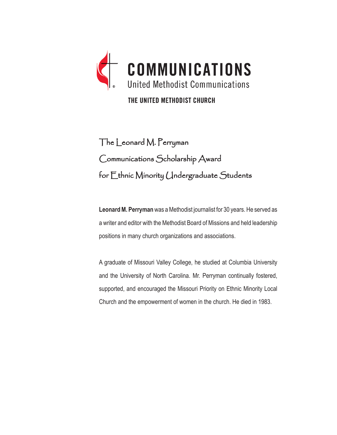

THE UNITED METHODIST CHURCH

# The Leonard M. Perryman Communications Scholarship Award for Ethnic Minority Undergraduate Students

**Leonard M. Perryman** was a Methodist journalist for 30 years. He served as a writer and editor with the Methodist Board of Missions and held leadership positions in many church organizations and associations.

A graduate of Missouri Valley College, he studied at Columbia University and the University of North Carolina. Mr. Perryman continually fostered, supported, and encouraged the Missouri Priority on Ethnic Minority Local Church and the empowerment of women in the church. He died in 1983.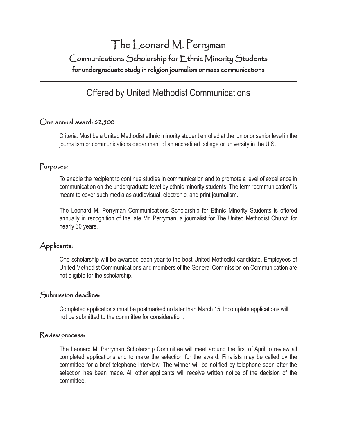# The Leonard M. Perryman Communications Scholarship for Ethnic Minority Students for undergraduate study in religion journalism or mass communications

# Offered by United Methodist Communications

### One annual award: \$2,500

Criteria: Must be a United Methodist ethnic minority student enrolled at the junior or senior level in the journalism or communications department of an accredited college or university in the U.S.

## Purposes:

To enable the recipient to continue studies in communication and to promote a level of excellence in communication on the undergraduate level by ethnic minority students. The term "communication" is meant to cover such media as audiovisual, electronic, and print journalism.

The Leonard M. Perryman Communications Scholarship for Ethnic Minority Students is offered annually in recognition of the late Mr. Perryman, a journalist for The United Methodist Church for nearly 30 years.

# Applicants:

One scholarship will be awarded each year to the best United Methodist candidate. Employees of United Methodist Communications and members of the General Commission on Communication are not eligible for the scholarship.

#### Submission deadline:

Completed applications must be postmarked no later than March 15. Incomplete applications will not be submitted to the committee for consideration.

#### Review process:

The Leonard M. Perryman Scholarship Committee will meet around the first of April to review all completed applications and to make the selection for the award. Finalists may be called by the committee for a brief telephone interview. The winner will be notified by telephone soon after the selection has been made. All other applicants will receive written notice of the decision of the committee.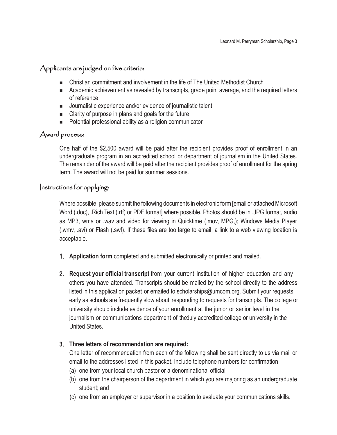# Applicants are judged on five criteria:

- Christian commitment and involvement in the life of The United Methodist Church
- **EXECT** Academic achievement as revealed by transcripts, grade point average, and the required letters of reference
- Journalistic experience and/or evidence of journalistic talent
- $\blacksquare$  Clarity of purpose in plans and goals for the future
- Potential professional ability as a religion communicator

# Award process:

One half of the \$2,500 award will be paid after the recipient provides proof of enrollment in an undergraduate program in an accredited school or department of journalism in the United States. The remainder of the award will be paid after the recipient provides proof of enrollment for the spring term. The award will not be paid for summer sessions.

## Instructions for applying:

Where possible, please submit the following documents in electronic form [email or attached Microsoft Word (.doc), .Rich Text (.rtf) or PDF format] where possible. Photos should be in .JPG format, audio as MP3, wma or .wav and video for viewing in Quicktime (.mov, MPG,); Windows Media Player (.wmv, .avi) or Flash (.swf). If these files are too large to email, a link to a web viewing location is acceptable.

- 1. **Application form** completed and submitted electronically or printed and mailed.
- 2. **Request your official transcript** from your current institution of higher education and any others you have attended. Transcripts should be mailed by the school directly to the address listed in this application packet or emailed to scholarships@umcom.org. Submit your requests early as schools are frequently slow about responding to requests for transcripts. The college or university should include evidence of your enrollment at the junior or senior level in the journalism or communications department of the duly accredited college or university in the United States.

### 3. **Three letters of recommendation are required:**

One letter of recommendation from each of the following shall be sent directly to us via mail or email to the addresses listed in this packet. Include telephone numbers for confirmation

- (a) one from your local church pastor or a denominational official
- (b) one from the chairperson of the department in which you are majoring as an undergraduate student; and
- (c) one from an employer or supervisor in a position to evaluate your communications skills.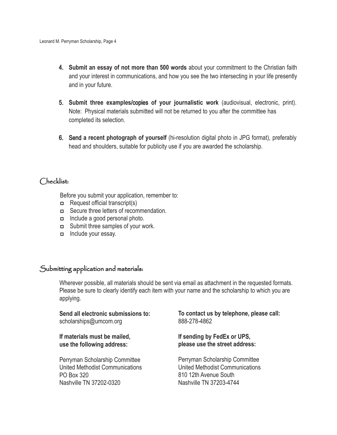- 4. **Submit an essay of not more than 500 words** about your commitment to the Christian faith and your interest in communications, and how you see the two intersecting in your life presently and in your future.
- 5. **Submit three examples**/copies **of your journalistic work** (audiovisual, electronic, print). Note: Physical materials submitted will not be returned to you after the committee has completed its selection.
- 6. Send **a recent photograph of yourself** (hi-resolution digital photo in JPG format), preferably head and shoulders, suitable for publicity use if you are awarded the scholarship.

#### Checklist:

Before you submit your application, remember to:

- <sup>p</sup> Request official transcript(s)
- <sup>p</sup> Secure three letters of recommendation.
- <sup>p</sup> Include a good personal photo.
- **p** Submit three samples of your work.
- **p** Include your essay.

# Submitting application and materials:

Wherever possible, all materials should be sent via email as attachment in the requested formats. Please be sure to clearly identify each item with your name and the scholarship to which you are applying.

**Send all electronic submissions to:** scholarships@umcom.org

**If materials must be mailed, use the following address:**

Perryman Scholarship Committee United Methodist Communications PO Box 320 Nashville TN 37202-0320

**To contact us by telephone, please call:** 888-278-4862

**If sending by FedEx or UPS, please use the street address:**

Perryman Scholarship Committee United Methodist Communications 810 12th Avenue South Nashville TN 37203-4744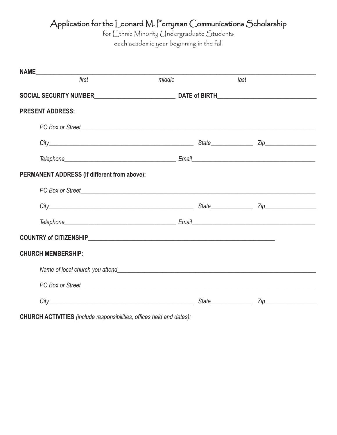# Application for the Leonard M. Perryman Communications Scholarship

for Ethnic Minority Undergraduate Students

each academic year beginning in the fall

| <b>NAME</b>                                  |                                   |        |  |                      |  |  |  |
|----------------------------------------------|-----------------------------------|--------|--|----------------------|--|--|--|
|                                              | first                             | middle |  | last                 |  |  |  |
|                                              |                                   |        |  |                      |  |  |  |
| <b>PRESENT ADDRESS:</b>                      |                                   |        |  |                      |  |  |  |
|                                              |                                   |        |  |                      |  |  |  |
|                                              |                                   |        |  |                      |  |  |  |
|                                              |                                   |        |  |                      |  |  |  |
| PERMANENT ADDRESS (if different from above): |                                   |        |  |                      |  |  |  |
|                                              | PO Box or Street PO Box of Street |        |  |                      |  |  |  |
|                                              |                                   |        |  |                      |  |  |  |
|                                              |                                   |        |  |                      |  |  |  |
|                                              |                                   |        |  |                      |  |  |  |
| <b>CHURCH MEMBERSHIP:</b>                    |                                   |        |  |                      |  |  |  |
|                                              |                                   |        |  |                      |  |  |  |
|                                              |                                   |        |  |                      |  |  |  |
|                                              |                                   |        |  | State <b>Zip Zip</b> |  |  |  |

**CHURCH ACTIVITIES** *(include responsibilities, offices held and dates):*